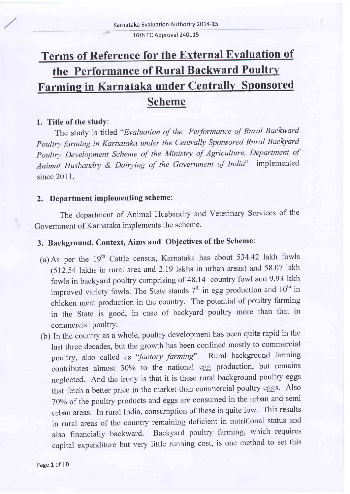16th TC Approval 240115

# Terms of Reference for the External Evaluation of the Performance of Rural Backward Poult Farming in Karnataka under Centrally Sponsored Scheme

### 1. Title of the study:

The study is titled "Evaluation of the Performance of Rural Backward Poultry farming in Karnataka under the Centrally Sponsored Rural Backyard poultry Development Scheme of the Ministry of Agriculture, Department of Animal Husbandry & Dairying of the Government of India" implemented since 2011.

### 2. Department implementing scheme:

The department of Animal Husbandry and Veterinary Services of the Government of Kamataka implements the scheme.

# 3. Background, Context, Aims and Objectives of the Scheme:

- (a)As per the 19'h Cattle census, Karnataka has about 534.42 lakh fowls (512.54 lakhs in rural area and 2.19 lakhs in urban areas) and 58.07 lakh fowls in backyard poultry comprising of 48.14 country fowl and 9.93 lakh improved variety fowls. The State stands  $7<sup>th</sup>$  in egg production and  $10<sup>th</sup>$  in chicken meat production in the country. The potential of poultry farming in the State is good, in case of backyard poultry more than that in commercial poultry.
- (b) In the country as a whole, poultry development has been quite rapid in the last three decades, but the growth has been confined mostly to commercial poultry, also called as "factory farming". Rural background farming contributes almost 30% to the national egg production, but remains neglected. And the irony is that it is these rural background poultry eggs that fetch a better price in the market than commercial poultry eggs. Also 70% of the poultry products and eggs are consumed in the urban and semi urban areas. In rural India, consumption of these is quite low. This results in rural areas of the country remaining deficient in nutritional status and also financially backward. Backyard poultry farming, which requires capital expenditure but very little running cost, is one method to set this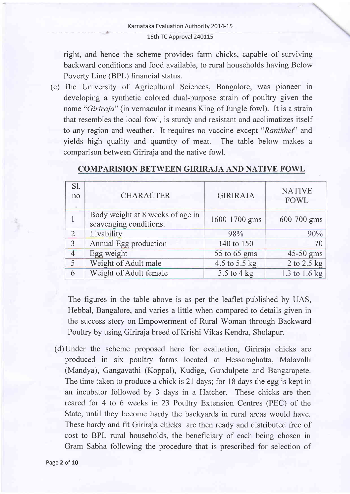right, and hence the scheme provides farm chicks, capable of surviving backward conditions and food availabie, to rural households having Below Poverty Line (BPL) financial status.

(c) The University of Agricultural Sciences, Bangalore, was pioneer in developing a synthetic colored dual-purpose strain of poultry given the name "*Giriraja*" (in vernacular it means King of Jungle fowl). It is a strain that resembles the local fowl, is sturdy and resistant and acclimatizes itself to any region and weather. It requires no vaccine except "Ranikhet" and yields high quality and quantity of meat. The table below makes <sup>a</sup> comparison between Giriraja and the native fowl.

| S1.<br>no<br>$\bullet$ | <b>CHARACTER</b>                                           | <b>GIRIRAJA</b> | <b>NATIVE</b><br><b>FOWL</b> |
|------------------------|------------------------------------------------------------|-----------------|------------------------------|
|                        | Body weight at 8 weeks of age in<br>scavenging conditions. | 1600-1700 gms   | 600-700 gms                  |
| $\overline{2}$         | Livability                                                 | 98%             | 90%                          |
| 3                      | Annual Egg production                                      | 140 to 150      | 70                           |
| $\overline{4}$         | Egg weight                                                 | 55 to 65 gms    | 45-50 gms                    |
| 5                      | Weight of Adult male                                       | 4.5 to 5.5 kg   | 2 to 2.5 kg                  |
| 6                      | Weight of Adult female                                     | $3.5$ to $4$ kg | 1.3 to 1.6 kg                |

### COMPARISION BETWEEN GIRIRAJA AND NATIVE FOWL

The figures in the table above is as per the leaflet published by UAS, Hebbal, Bangalore, and varies a little when compared to details given in the success story on Empowerment of Rural Woman through Backward Poultry by using Giriraja breed of Krishi Vikas Kendra, Sholapur.

(d)Under the scheme proposed here for evaluation, Giriraja chicks are produced in six poultry farms located at Hessaraghatta, Malavalli (Mandya), Gangavathi (Koppal), Kudige, Gundulpete and Bangarapete. The time taken to produce a chick is 21 days; for 18 days the egg is kept in an incubator followed by 3 days in a Hatcher. These chicks are then reared for 4 to 6 weeks in 23 Poultry Extension Centres (PEC) of the State, until they become hardy the backyards in rural areas would have. These hardy and fit Giriraja chicks are then ready and distributed free of cost to BPL rural households, the beneficiary of each being chosen in Gram Sabha following the procedure that is prescribed for selection of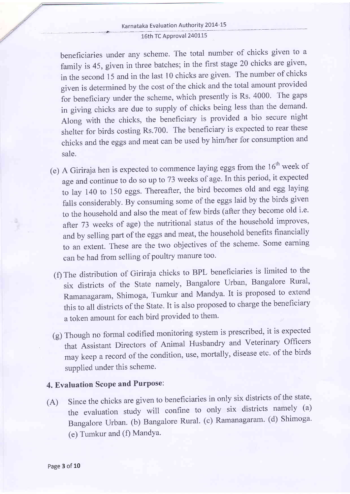#### Karnataka Evaluation Authority 201-4-L5 - \_\_- 16th TC Approval 240115

beneficiaries under any scheme. The total number of chicks given to a family is 45, given in three batches; in the first stage 20 chicks are given, in the second 15 and in the last 10 chicks are given. The number of chicks given is determined by the cost of the chick and the total amount provided for beneficiary under the scheme, which presently is Rs. 4000. The gaps in giving chicks are due to supply of chicks being less than the demand. Along with the chicks, the beneficiary is provided a bio secure night shelter for birds costing Rs.700. The beneficiary is expected to rear these chicks and the eggs and meat can be used by him/her for consumption and sale.

- (e) A Giriraja hen is expected to commence laying eggs from the  $16<sup>th</sup>$  week of age and continue to do so up to 73 weeks of age. In this period, it expected to lay 140 to 150 eggs. Thereafter, the bird becomes old and egg laying falls considerably. By consuming some of the eggs laid by the birds given to the household and also the meat of few birds (after they become old i.e. after 73 weeks of age) the nutritional status of the household improves, and by selling part of the eggs and meat, the household benefits financially to an extent. These are the two objectives of the scheme. Some earning can be had from selling of poultry manure too.
	- (f) The distribution of Giriraja chicks to BPL beneficiaries is limited to the six districts of the State namely, Bangalore Urban, Bangalore Rural, Ramanagaram, Shimoga, Tumkur and Mandya. It is proposed to extend this to all districts of the State. It is also proposed to charge the beneficiary <sup>a</sup>token amount for each bird provided to them'
- (g) Though no formal codified monitoring system is prescribed, it is expected that Assistant Directors of Animal Husbandry and Veterinary Officers may keep a record of the condition, use, mortally, disease etc. of the birds supplied under this scheme.

### 4. Evaluation Scope and Purpose:

(A) Since the chicks are given to beneficiaries in only six districts of the state, the evaluation study will confine to only six districts namely (a) Bangalore Urban. (b) Bangalore Rural. (c) Ramanagaram. (d) Shimoga. (e) Tumkur and (f) Mandya.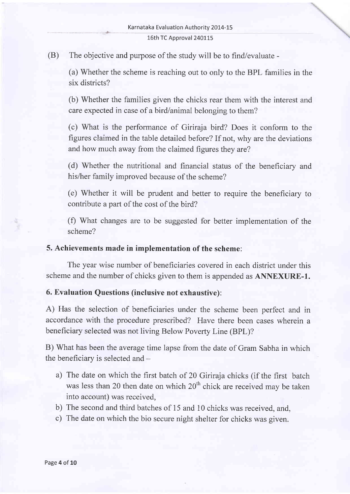#### 16th TC Approval 240115

(B) The objective and purpose of the study will be to find/evaluate -

(a) Whether the scheme is reaching out to only to the BPL families in the six districts?

(b) Whether the families given the chicks rear them with the interest and care expected in case of a bird/animal belonging to them?

(c) What is the performance of Giriraja bird? Does it conform to the figures claimed in the table detailed before? If not, why are the deviations and how much away from the claimed figures they are?

(d) Whether the nutritional and financial status of the beneficiary and his/her family improved because of the scheme?

(e) Whether it will be prudent and better to require the beneficiary to contribute a part of the cost of the bird?

(f) What changes are to be suggested for better implementation of the scheme?

#### 5. Achievements made in implementation of the scheme:

The year wise number of beneficiaries covered in each district under this scheme and the number of chicks given to them is appended as **ANNEXURE-1.** 

#### 6. Evaluation Questions (inclusive not exhaustive):

A) Has the selection of beneficiaries under the scheme been perfect and in accordance with the procedure prescribed? Have there been cases wherein <sup>a</sup> beneficiary selected was not living Below Poverty Line (BPL)?

B) What has been the average time lapse from the date of Gram Sabha in which the beneficiary is selected and  $-$ 

- a) The date on which the first batch of 20 Giriraja chicks (if the first batch was less than 20 then date on which 20<sup>th</sup> chick are received may be taken into account) was received,
- b) The second and third batches of 15 and 10 chicks was received, and,
- c) The date on which the bio secure night shelter for chicks was given.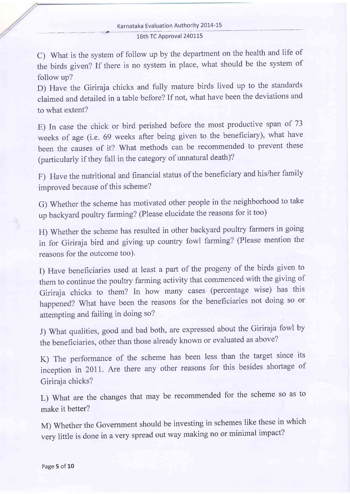C) What is the system of follow up by the department on the health and life of the birds given? If there is no system in place, what should be the system of follow up?

D) Have the Giriraja chicks and fully mature birds lived up to the standards claimed and detailed in a table before? If not, what have been the deviations and to what extent?

E) In case the chick or bird perished before the most productive span of <sup>73</sup> weeks of age (i.e. 69 weeks after being given to the beneficiary), what have been the causes of it? What methods can be recommended to prevent these (particularly if they fall in the category of unnatural death)?

F) Have the nutritional and financial status of the beneficiary and his/her family improved because of this scheme?

G) Whether the scheme has motivated other people in the neighborhood to take up backyard poultry farming? (Please elucidate the reasons for it too)

H) Whether the scheme has resulted in other backyard poultry farmers in going in for Giriraja bird and giving up country fowl farming? (Please mention the reasons for the outcome too).

I) Have beneficiaries used at least a part of the progeny of the birds given to them to continue the poultry farming activity that commenced with the giving of Giriraja chicks to them? In how many cases (percentage wise) has this happened? What have been the reasons for the beneficiaries not doing so or attempting and failing in doing so?

J) What qualities, good and bad both, are expressed about the Giriraja fowl by the beneficiaries, other than those already known or evaluated as above?

K) The performance of the scheme has been less than the target since its inception in 2011. Are there any other reasons for this besides shortage of Giriraia chicks?

L) What are the changes that may be recommended for the scheme so as to make it better?

M) Whether the Government should be investing in schemes like these in which very little is done in a very spread out way making no or minimal impact?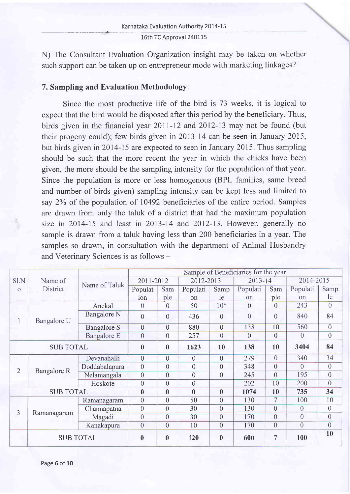#### Karnataka Evaluation Authority 2014-15 16th TC Approval 24O1J5

N) The Consultant Evaluation Organization insight may be taken on whether such support can be taken up on entrepreneur mode with marketing linkages?

#### 7. Sampling and Evaluation Methodology:

.. -- \*

Since the most productive life of the bird is 73 weeks, it is logical to expect that the bird would be disposed after this period by the beneficiary. Thus, birds given in the financial year 20II-12 and 2012-13 may not be found (but their progeny could); few birds given in20I3-I4 can be seen in January 2015, but birds given in 2014-15 are expected to seen in January 2015. Thus sampling should be such that the more recent the year in which the chicks have been given, the more should be the sampling intensity for the population of that year. Since the population is more or less homogenous (BPL families, same breed and number of birds given) sampling intensity can be kept less and limited to say 2Yo of the population of 10492 beneficiaries of the entire period. Samples are drawn from only the taluk of a district that had the maximum population size in  $2014-15$  and least in  $2013-14$  and  $2012-13$ . However, generally no sample is drawn from a taluk having less than 200 beneficiaries in a year. The samples so drawn, in consultation with the department of Animal Husbandry and Veterinary Sciences is as follows -

|                  | Name of<br>District |                    | Sample of Beneficiaries for the year |                |                |                |                |                |                |                |  |
|------------------|---------------------|--------------------|--------------------------------------|----------------|----------------|----------------|----------------|----------------|----------------|----------------|--|
| Sl.N<br>$\Omega$ |                     | Name of Taluk      | 2011-2012                            |                | 2012-2013      |                | $2013 - 14$    |                | 2014-2015      |                |  |
|                  |                     |                    | Populat                              | Sam            | Populati       | Samp           | Populati       | Sam            | Populati       | Samp           |  |
|                  |                     |                    | ion                                  | ple            | on             | le             | on             | ple            | on             | le             |  |
| 1                | Bangalore U         | Anekal             | $\theta$                             | $\theta$       | 50             | $10*$          | $\theta$       | $\theta$       | 243            | $\overline{0}$ |  |
|                  |                     | Bangalore N        | $\theta$                             | $\theta$       | 436            | $\theta$       | $\overline{0}$ | $\theta$       | 840            | 84             |  |
|                  |                     | <b>Bangalore S</b> | $\overline{0}$                       | $\overline{0}$ | 880            | $\overline{0}$ | 138            | 10             | 560            | $\overline{0}$ |  |
|                  |                     | <b>Bangalore E</b> | $\overline{0}$                       | $\overline{0}$ | 257            | $\overline{0}$ | $\overline{0}$ | $\overline{0}$ | $\theta$       | $\overline{0}$ |  |
| <b>SUB TOTAL</b> |                     | $\bf{0}$           | $\bf{0}$                             | 1623           | 10             | 138            | 10             | 3404           | 84             |                |  |
| $\overline{2}$   | Bangalore R         | Devanahalli        | $\overline{0}$                       | $\overline{0}$ | $\overline{0}$ | $\overline{0}$ | 279            | $\overline{0}$ | 340            | 34             |  |
|                  |                     | Doddabalapura      | $\mathbf{0}$                         | $\theta$       | $\theta$       | $\overline{0}$ | 348            | $\theta$       | $\theta$       | $\sqrt{a}$     |  |
|                  |                     | Nelamangala        | $\overline{0}$                       | $\overline{0}$ | $\theta$       | $\overline{0}$ | 245            | $\overline{0}$ | 195            | $\overline{0}$ |  |
|                  |                     | Hoskote            | $\overline{0}$                       | $\theta$       | $\theta$       |                | 202            | 10             | 200            | $\overline{0}$ |  |
| <b>SUB TOTAL</b> |                     |                    | $\bf{0}$                             | $\bf{0}$       | $\bf{0}$       | $\bf{0}$       | 1074           | 10             | 735            | 34             |  |
| 3                | Ramanagaram         | Ramanagaram        | $\theta$                             | $\overline{0}$ | 50             | $\overline{0}$ | 130            | 7              | 100            | 10             |  |
|                  |                     | Channapatna        | $\theta$                             | $\theta$       | 30             | $\overline{0}$ | 130            | $\overline{0}$ | $\overline{0}$ | $\overline{0}$ |  |
|                  |                     | Magadi             | $\theta$                             | $\overline{0}$ | 30             | $\theta$       | 170            | $\theta$       | $\theta$       | $\overline{0}$ |  |
|                  |                     | Kanakapura         | $\theta$                             | $\theta$       | 10             | $\overline{0}$ | 170            | $\overline{0}$ | $\overline{0}$ | $\overline{0}$ |  |
|                  | <b>SUB TOTAL</b>    |                    | $\mathbf{0}$                         | $\bf{0}$       | 120            | $\bf{0}$       | 600            | 7              | 100            | 10             |  |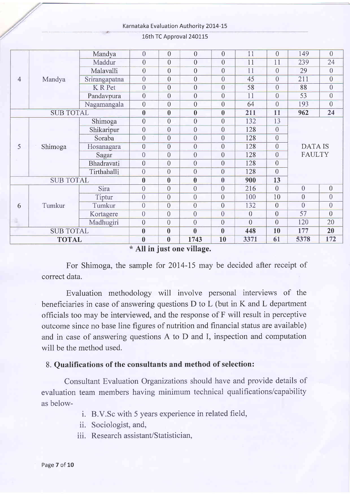Karnataka Evaluation Authority 2014-15

| $\overline{4}$                                         | Mandya  | Mandya         | $\overline{0}$          | $\overline{0}$          | $\overline{0}$          | $\overline{0}$   | 11             | $\overline{0}$   | 149                             | $\overline{0}$   |  |
|--------------------------------------------------------|---------|----------------|-------------------------|-------------------------|-------------------------|------------------|----------------|------------------|---------------------------------|------------------|--|
|                                                        |         | Maddur         | $\overline{0}$          | $\overline{0}$          | $\overline{0}$          | $\overline{0}$   | 11             | 11               | 239                             | 24               |  |
|                                                        |         | Malavalli      | $\overline{0}$          | $\overline{0}$          | $\overline{0}$          | $\overline{0}$   | 11             | $\overline{0}$   | 29                              | $\overline{0}$   |  |
|                                                        |         | Srirangapatna  | $\overline{0}$          | $\overline{0}$          | $\overline{0}$          | $\overline{0}$   | 45             | $\overline{0}$   | 211                             | $\overline{0}$   |  |
|                                                        |         | <b>K</b> R Pet | $\overline{0}$          | $\overline{0}$          | $\overline{0}$          | $\overline{0}$   | 58             | $\overline{0}$   | 88                              | $\theta$         |  |
|                                                        |         | Pandavpura     | $\overline{0}$          | $\overline{0}$          | $\overline{0}$          | $\overline{0}$   | 11             | $\overline{0}$   | 53                              | $\overline{0}$   |  |
|                                                        |         | Nagamangala    | $\overline{0}$          | $\overline{0}$          | $\overline{0}$          | $\overline{0}$   | 64             | $\overline{0}$   | 193                             | $\overline{0}$   |  |
| <b>SUB TOTAL</b>                                       |         |                | $\boldsymbol{0}$        | $\overline{0}$          | $\overline{\mathbf{0}}$ | $\boldsymbol{0}$ | 211            | 11               | 962                             | 24               |  |
|                                                        |         | Shimoga        | $\overline{0}$          | $\overline{0}$          | $\overline{0}$          | $\overline{0}$   | 132            | 13               |                                 |                  |  |
|                                                        | Shimoga | Shikaripur     | $\overline{0}$          | $\overline{0}$          | $\overline{0}$          | $\overline{0}$   | 128            | $\overline{0}$   |                                 |                  |  |
|                                                        |         | Soraba         | $\overline{0}$          | $\overline{0}$          | $\overline{0}$          | $\overline{0}$   | 128            | $\overline{0}$   |                                 |                  |  |
| 5                                                      |         | Hosanagara     | $\overline{0}$          | $\overline{0}$          | $\overline{0}$          | $\overline{0}$   | 128            | $\overline{0}$   | <b>DATA IS</b><br><b>FAULTY</b> |                  |  |
|                                                        |         | Sagar          | $\overline{0}$          | $\overline{0}$          | $\theta$                | $\overline{0}$   | 128            | $\boldsymbol{0}$ |                                 |                  |  |
|                                                        |         | Bhadravati     | $\overline{0}$          | $\theta$                | $\overline{0}$          | $\overline{0}$   | 128            | $\overline{0}$   |                                 |                  |  |
|                                                        |         | Tirthahalli    | $\overline{0}$          | $\overline{0}$          | $\overline{0}$          | $\overline{0}$   | 128            | $\overline{0}$   |                                 |                  |  |
| <b>SUB TOTAL</b>                                       |         |                | $\bf{0}$                | $\boldsymbol{0}$        | $\boldsymbol{0}$        | $\boldsymbol{0}$ | 900            | 13               |                                 |                  |  |
| 6                                                      | Tumkur  | Sira           | $\overline{0}$          | $\theta$                | $\overline{0}$          | $\overline{0}$   | 216            | $\overline{0}$   | $\overline{0}$                  | $\boldsymbol{0}$ |  |
|                                                        |         | Tiptur         | $\overline{0}$          | $\overline{0}$          | $\overline{0}$          | $\theta$         | 100            | 10               | $\overline{0}$                  | $\overline{0}$   |  |
|                                                        |         | Tumkur         | $\overline{0}$          | $\overline{0}$          | $\overline{0}$          | $\overline{0}$   | 132            | $\overline{0}$   | $\overline{0}$                  | $\overline{0}$   |  |
|                                                        |         | Kortagere      | $\overline{0}$          | $\overline{0}$          | $\overline{0}$          | $\overline{0}$   | $\overline{0}$ | $\overline{0}$   | 57                              | $\overline{0}$   |  |
|                                                        |         | Madhugiri      | $\overline{0}$          | $\overline{0}$          | $\overline{0}$          | $\theta$         | $\overline{0}$ | $\overline{0}$   | 120                             | 20               |  |
| <b>SUB TOTAL</b>                                       |         | $\bf{0}$       | $\overline{\mathbf{0}}$ | $\bf{0}$                | $\bf{0}$                | 448              | <b>10</b>      | 177              | 20                              |                  |  |
| <b>TOTAL</b>                                           |         |                | $\bf{0}$                | $\overline{\mathbf{0}}$ | 1743                    | 10               | 3371           | 61               | 5378                            | 172              |  |
| $\Phi$ All $\Omega$ , $\Omega$ , $\Delta$ and $\Omega$ |         |                |                         |                         |                         |                  |                |                  |                                 |                  |  |

16th TC Approval 2401J5

\* All in just one village.

For Shimoga, the sample for 2014-15 may be decided after receipt of correct data.

Evaluation methodology will involve personal interviews of the beneficiaries in case of answering questions D to L (but in K and L department officials too may be interviewed, and the response of F will result in perceptive outcome since no base line figures of nutrition and financial status are available) and in case of answering questions A to D and I, inspection and computation will be the method used.

### 8. Qualifications of the consultants and method of selection:

Consultant Evaluation Organizations should have and provide details of evaluation team members having minimum technical qualifications/capability as below-

- i. B.V.Sc with 5 years experience in related field,
- ii. Sociologist, and,
- iii. Research assistant/Statistician.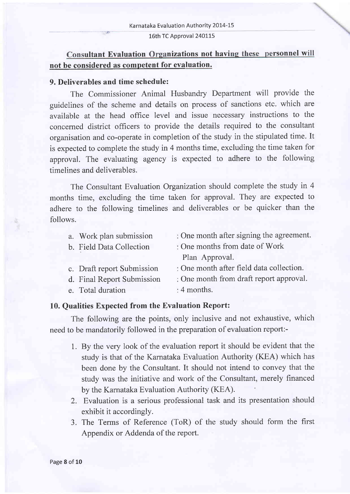#### 16th TC Approval 240115

### Consultant Evaluation Organizations not having these personnel will not be considered as competent for evaluation.

#### 9. Deliverables and time schedule:

The Commissioner Animal Husbandry Department will provide the guidelines of the scheme and details on process of sanctions etc. which are available at the head office level and issue necessary instructions to the concemed district officers to provide the details required to the consultant organisation and co-operate in completion of the study in the stipulated time. It is expected to complete the study in 4 months time, excluding the time taken for approval. The evaluating agency is expected to adhere to the following timelines and deliverables.

The Consultant Evaluation Organization should complete the study in <sup>4</sup> months time, excluding the time taken for approval. They are expected to adhere to the following timelines and deliverables or be quicker than the follows.

| a. Work plan submission    | : One month after signing the agreement. |
|----------------------------|------------------------------------------|
| b. Field Data Collection   | : One months from date of Work           |
|                            | Plan Approval.                           |
| c. Draft report Submission | : One month after field data collection. |
| d. Final Report Submission | : One month from draft report approval.  |
| e. Total duration          | : 4 months.                              |
|                            |                                          |

#### 10. Qualities Expected from the Evaluation Report:

The following are the points, only inclusive and not exhaustive, which need to be mandatorily followed in the preparation of evaluation report:-

- 1. By the very look of the evaluation report it should be evident that the study is that of the Karnataka Evaluation Authority (KEA) which has been done by the Consultant. It should not intend to convey that the study was the initiative and work of the Consultant, merely financed by the Karnataka Evaluation Authority (KEA).
- 2. Evaluation is a serious professional task and its presentation should exhibit it accordingly.
- 3. The Terms of Reference (ToR) of the study should form the first Appendix or Addenda of the report.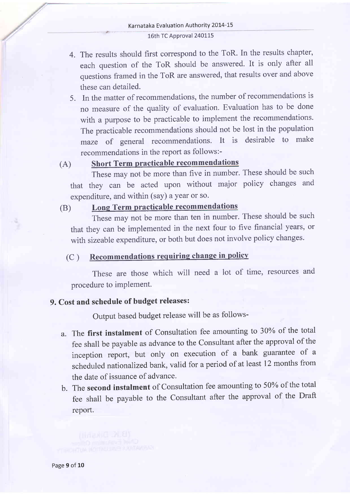- 4. The results should first correspond to the ToR. In the results chapter, each question of the ToR should be answered. It is only after all questions framed in the ToR are answered, that results over and above these can detailed.
- 5. In the matter of recommendations, the number of recommendations is no measure of the quality of evaluation. Evaluation has to be done with a purpose to be practicable to implement the recommendations. The practicable recommendations should not be lost in the population maze of general recommendations. It is desirable to make recommendations in the report as follows:-

# (A) Short Term practicable recommendations

These may not be more than five in number. These should be such that they can be acted upon without major policy changes and expenditure, and within (say) a year or so.

# (B) Long Term practicable recommendations

These may not be more than ten in number. These should be such that they can be implemented in the next four to five financial years, or with sizeable expenditure, or both but does not involve policy changes.

### (C ) Recommendations requiring change in policv

These are those which will need a lot of time, resources and procedure to implement.

# 9. Cost and schedule of budget releases:

Output based budget release will be as follows-

- a. The first instalment of Consultation fee amounting to 30Yo of the total fee shall be payable as advance to the Consultant after the approval of the inception report, but only on execution of a bank guarantee of <sup>a</sup> scheduled nationalized bank, valid for a period of at least 12 months from the date of issuance of advance.
- b. The second instalment of Consultation fee amounting to 50% of the total fee shall be payable to the consultant after the approval of the Draft report.